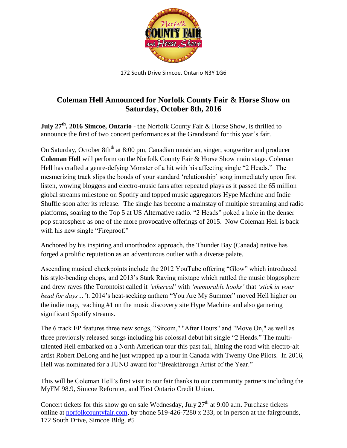

172 South Drive Simcoe, Ontario N3Y 1G6

## **Coleman Hell Announced for Norfolk County Fair & Horse Show on Saturday, October 8th, 2016**

**July 27th , 2016 Simcoe, Ontario** - the Norfolk County Fair & Horse Show, is thrilled to announce the first of two concert performances at the Grandstand for this year's fair.

On Saturday, October 8th<sup>th</sup> at 8:00 pm, Canadian musician, singer, songwriter and producer **Coleman Hell** will perform on the Norfolk County Fair & Horse Show main stage. Coleman Hell has crafted a genre-defying Monster of a hit with his affecting single "2 Heads." The mesmerizing track slips the bonds of your standard 'relationship' song immediately upon first listen, wowing bloggers and electro-music fans after repeated plays as it passed the 65 million global streams milestone on Spotify and topped music aggregators Hype Machine and Indie Shuffle soon after its release. The single has become a mainstay of multiple streaming and radio platforms, soaring to the Top 5 at US Alternative radio. "2 Heads" poked a hole in the denser pop stratosphere as one of the more provocative offerings of 2015. Now Coleman Hell is back with his new single "Fireproof."

Anchored by his inspiring and unorthodox approach, the Thunder Bay (Canada) native has forged a prolific reputation as an adventurous outlier with a diverse palate.

Ascending musical checkpoints include the 2012 YouTube offering "Glow" which introduced his style-bending chops, and 2013's Stark Raving mixtape which rattled the music blogosphere and drew raves (the Torontoist called it *'ethereal'* with *'memorable hooks'* that *'stick in your head for days…'*). 2014's heat-seeking anthem "You Are My Summer" moved Hell higher on the indie map, reaching #1 on the music discovery site Hype Machine and also garnering significant Spotify streams.

The 6 track EP features three new songs, "Sitcom," "After Hours" and "Move On," as well as three previously released songs including his colossal debut hit single "2 Heads." The multitalented Hell embarked on a North American tour this past fall, hitting the road with electro-alt artist Robert DeLong and he just wrapped up a tour in Canada with Twenty One Pilots. In 2016, Hell was nominated for a JUNO award for "Breakthrough Artist of the Year."

This will be Coleman Hell's first visit to our fair thanks to our community partners including the MyFM 98.9, Simcoe Reformer, and First Ontario Credit Union.

Concert tickets for this show go on sale Wednesday, July  $27<sup>th</sup>$  at 9:00 a.m. Purchase tickets online at [norfolkcountyfair.com,](http://www.norfolkcountyfair.com/) by phone 519-426-7280 x 233, or in person at the fairgrounds, 172 South Drive, Simcoe Bldg. #5